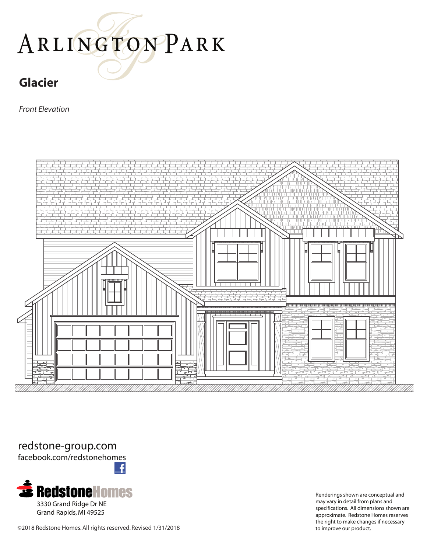# ARLINGTONPARK

### **Glacier**

*Front Elevation*



redstone-group.com

facebook.com/redstonehomes



Renderings shown are conceptual and may vary in detail from plans and specifications. All dimensions shown are approximate. Redstone Homes reserves the right to make changes if necessary

©2018 Redstone Homes. All rights reserved. Revised 1/31/2018 to improve our product.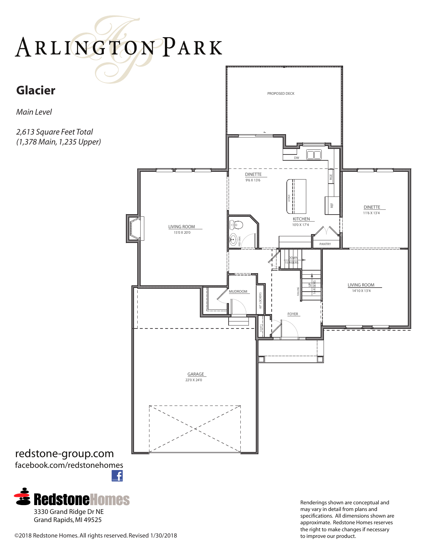## ARLINGTONPARK

## **Glacier**

*Main Level*

*2,613 Square Feet Total (1,378 Main, 1,235 Upper)*



#### redstone-group.com facebook.com/redstonehomes £



Renderings shown are conceptual and may vary in detail from plans and specifications. All dimensions shown are approximate. Redstone Homes reserves the right to make changes if necessary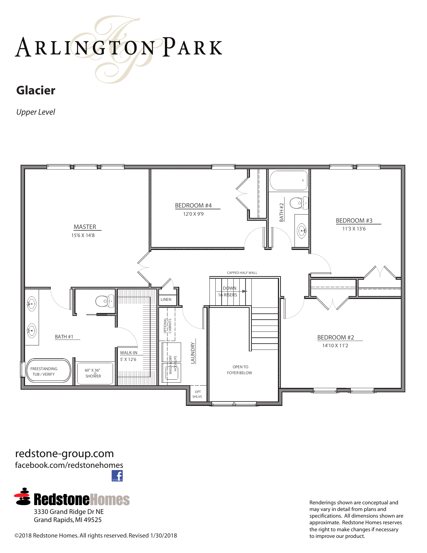# ARLINGTONPARK

## **Glacier**

*Upper Level*



redstone-group.com facebook.com/redstonehomes £



Renderings shown are conceptual and may vary in detail from plans and specifications. All dimensions shown are approximate. Redstone Homes reserves the right to make changes if necessary

©2018 Redstone Homes. All rights reserved. Revised 1/30/2018 to improve our product.